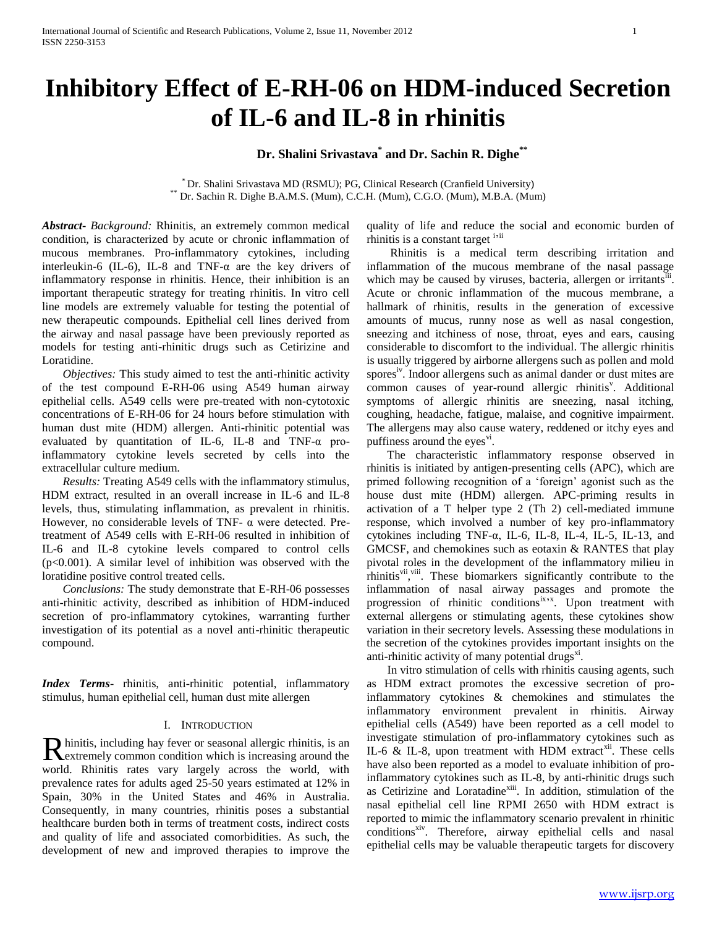# **Inhibitory Effect of E-RH-06 on HDM-induced Secretion of IL-6 and IL-8 in rhinitis**

# **Dr. Shalini Srivastava\* and Dr. Sachin R. Dighe\*\***

\* Dr. Shalini Srivastava MD (RSMU); PG, Clinical Research (Cranfield University) \*\* Dr. Sachin R. Dighe B.A.M.S. (Mum), C.C.H. (Mum), C.G.O. (Mum), M.B.A. (Mum)

*Abstract***-** *Background:* Rhinitis, an extremely common medical condition, is characterized by acute or chronic inflammation of mucous membranes. Pro-inflammatory cytokines, including interleukin-6 (IL-6), IL-8 and TNF- $\alpha$  are the key drivers of inflammatory response in rhinitis. Hence, their inhibition is an important therapeutic strategy for treating rhinitis. In vitro cell line models are extremely valuable for testing the potential of new therapeutic compounds. Epithelial cell lines derived from the airway and nasal passage have been previously reported as models for testing anti-rhinitic drugs such as Cetirizine and Loratidine.

 *Objectives:* This study aimed to test the anti-rhinitic activity of the test compound E-RH-06 using A549 human airway epithelial cells. A549 cells were pre-treated with non-cytotoxic concentrations of E-RH-06 for 24 hours before stimulation with human dust mite (HDM) allergen. Anti-rhinitic potential was evaluated by quantitation of IL-6, IL-8 and TNF-α proinflammatory cytokine levels secreted by cells into the extracellular culture medium.

 *Results:* Treating A549 cells with the inflammatory stimulus, HDM extract, resulted in an overall increase in IL-6 and IL-8 levels, thus, stimulating inflammation, as prevalent in rhinitis. However, no considerable levels of TNF- α were detected. Pretreatment of A549 cells with E-RH-06 resulted in inhibition of IL-6 and IL-8 cytokine levels compared to control cells  $(p<0.001)$ . A similar level of inhibition was observed with the loratidine positive control treated cells.

 *Conclusions:* The study demonstrate that E-RH-06 possesses anti-rhinitic activity, described as inhibition of HDM-induced secretion of pro-inflammatory cytokines, warranting further investigation of its potential as a novel anti-rhinitic therapeutic compound.

*Index Terms*- rhinitis, anti-rhinitic potential, inflammatory stimulus, human epithelial cell, human dust mite allergen

## I. INTRODUCTION

hinitis, including hay fever or seasonal allergic rhinitis, is an Reinitis, including hay fever or seasonal allergic rhinitis, is an extremely common condition which is increasing around the world. Rhinitis rates vary largely across the world, with prevalence rates for adults aged 25-50 years estimated at 12% in Spain, 30% in the United States and 46% in Australia. Consequently, in many countries, rhinitis poses a substantial healthcare burden both in terms of treatment costs, indirect costs and quality of life and associated comorbidities. As such, the development of new and improved therapies to improve the

quality of life and reduce the social and economic burden of rhinitis is a constant target i<sup>ii</sup>

 Rhinitis is a medical term describing irritation and inflammation of the mucous membrane of the nasal passage which may be caused by viruses, bacteria, allergen or irritants<sup>iii</sup>. Acute or chronic inflammation of the mucous membrane, a hallmark of rhinitis, results in the generation of excessive amounts of mucus, runny nose as well as nasal congestion, sneezing and itchiness of nose, throat, eyes and ears, causing considerable to discomfort to the individual. The allergic rhinitis is usually triggered by airborne allergens such as pollen and mold spores<sup>iv</sup>. Indoor allergens such as animal dander or dust mites are common causes of year-round allergic rhinitis<sup>v</sup>. Additional symptoms of allergic rhinitis are sneezing, nasal itching, coughing, headache, fatigue, malaise, and cognitive impairment. The allergens may also cause watery, reddened or itchy eyes and puffiness around the eyes<sup>vi</sup>.

 The characteristic inflammatory response observed in rhinitis is initiated by antigen-presenting cells (APC), which are primed following recognition of a 'foreign' agonist such as the house dust mite (HDM) allergen. APC-priming results in activation of a T helper type 2 (Th 2) cell-mediated immune response, which involved a number of key pro-inflammatory cytokines including TNF- $\alpha$ , IL-6, IL-8, IL-4, IL-5, IL-13, and GMCSF, and chemokines such as eotaxin & RANTES that play pivotal roles in the development of the inflammatory milieu in rhinitis<sup>vii</sup>, <sup>viii</sup>. These biomarkers significantly contribute to the inflammation of nasal airway passages and promote the progression of rhinitic conditions<sup>ix,x</sup>. Upon treatment with external allergens or stimulating agents, these cytokines show variation in their secretory levels. Assessing these modulations in the secretion of the cytokines provides important insights on the anti-rhinitic activity of many potential drugs $^{xi}$ .

 In vitro stimulation of cells with rhinitis causing agents, such as HDM extract promotes the excessive secretion of proinflammatory cytokines & chemokines and stimulates the inflammatory environment prevalent in rhinitis. Airway epithelial cells (A549) have been reported as a cell model to investigate stimulation of pro-inflammatory cytokines such as IL-6  $\&$  IL-8, upon treatment with HDM extract<sup>xii</sup>. These cells have also been reported as a model to evaluate inhibition of proinflammatory cytokines such as IL-8, by anti-rhinitic drugs such as Cetirizine and Loratadine<sup>xiii</sup>. In addition, stimulation of the nasal epithelial cell line RPMI 2650 with HDM extract is reported to mimic the inflammatory scenario prevalent in rhinitic conditions<sup>xiv</sup>. Therefore, airway epithelial cells and nasal epithelial cells may be valuable therapeutic targets for discovery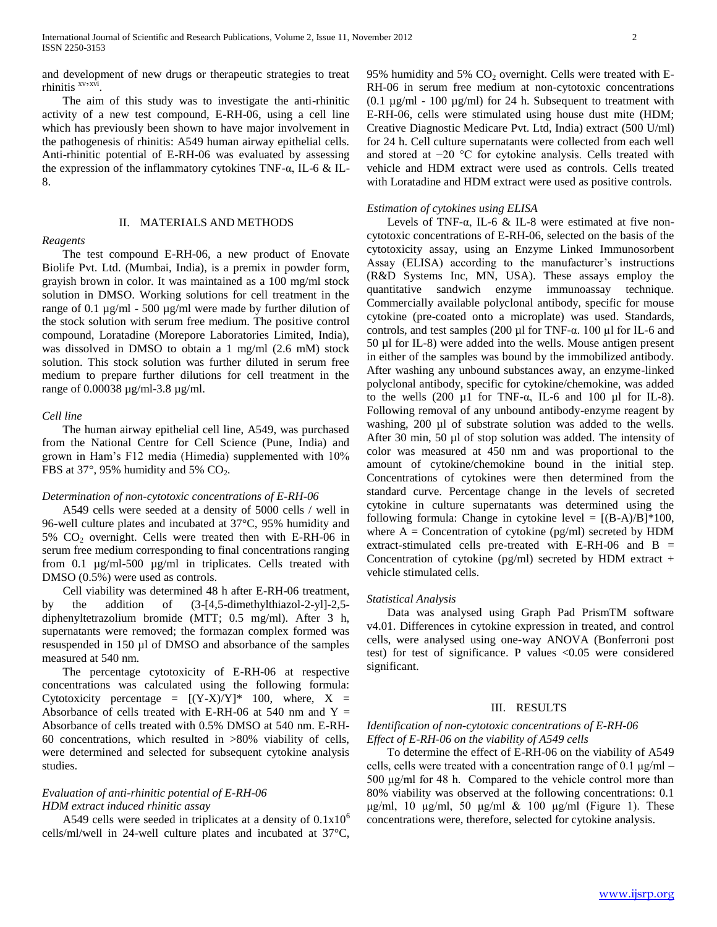and development of new drugs or therapeutic strategies to treat rhinitis <sup>xv</sup>xvi .

 The aim of this study was to investigate the anti-rhinitic activity of a new test compound, E-RH-06, using a cell line which has previously been shown to have major involvement in the pathogenesis of rhinitis: A549 human airway epithelial cells. Anti-rhinitic potential of E-RH-06 was evaluated by assessing the expression of the inflammatory cytokines TNF-α, IL-6 & IL-8.

#### II. MATERIALS AND METHODS

#### *Reagents*

 The test compound E-RH-06, a new product of Enovate Biolife Pvt. Ltd. (Mumbai, India), is a premix in powder form, grayish brown in color. It was maintained as a 100 mg/ml stock solution in DMSO. Working solutions for cell treatment in the range of 0.1 µg/ml - 500 µg/ml were made by further dilution of the stock solution with serum free medium. The positive control compound, Loratadine (Morepore Laboratories Limited, India), was dissolved in DMSO to obtain a 1 mg/ml (2.6 mM) stock solution. This stock solution was further diluted in serum free medium to prepare further dilutions for cell treatment in the range of 0.00038 µg/ml-3.8 µg/ml.

#### *Cell line*

 The human airway epithelial cell line, A549, was purchased from the National Centre for Cell Science (Pune, India) and grown in Ham's F12 media (Himedia) supplemented with 10% FBS at 37 $^{\circ}$ , 95% humidity and 5% CO<sub>2</sub>.

#### *Determination of non-cytotoxic concentrations of E-RH-06*

 A549 cells were seeded at a density of 5000 cells / well in 96-well culture plates and incubated at 37°C, 95% humidity and  $5\%$  CO<sub>2</sub> overnight. Cells were treated then with E-RH-06 in serum free medium corresponding to final concentrations ranging from 0.1 µg/ml-500 µg/ml in triplicates. Cells treated with DMSO (0.5%) were used as controls.

 Cell viability was determined 48 h after E-RH-06 treatment, by the addition of (3-[4,5-dimethylthiazol-2-yl]-2,5 diphenyltetrazolium bromide (MTT; 0.5 mg/ml). After 3 h, supernatants were removed; the formazan complex formed was resuspended in 150 µl of DMSO and absorbance of the samples measured at 540 nm.

 The percentage cytotoxicity of E-RH-06 at respective concentrations was calculated using the following formula: Cytotoxicity percentage =  $[(Y-X)/Y]^*$  100, where,  $X =$ Absorbance of cells treated with E-RH-06 at 540 nm and  $Y =$ Absorbance of cells treated with 0.5% DMSO at 540 nm. E-RH-60 concentrations, which resulted in >80% viability of cells, were determined and selected for subsequent cytokine analysis studies.

# *Evaluation of anti-rhinitic potential of E-RH-06 HDM extract induced rhinitic assay*

A549 cells were seeded in triplicates at a density of  $0.1x10^6$ cells/ml/well in 24-well culture plates and incubated at 37°C,

95% humidity and 5%  $CO<sub>2</sub>$  overnight. Cells were treated with E-RH-06 in serum free medium at non-cytotoxic concentrations  $(0.1 \mu g/ml - 100 \mu g/ml)$  for 24 h. Subsequent to treatment with E-RH-06, cells were stimulated using house dust mite (HDM; Creative Diagnostic Medicare Pvt. Ltd, India) extract (500 U/ml) for 24 h. Cell culture supernatants were collected from each well and stored at −20 °C for cytokine analysis. Cells treated with vehicle and HDM extract were used as controls. Cells treated with Loratadine and HDM extract were used as positive controls.

#### *Estimation of cytokines using ELISA*

Levels of TNF- $\alpha$ , IL-6 & IL-8 were estimated at five noncytotoxic concentrations of E-RH-06, selected on the basis of the cytotoxicity assay, using an Enzyme Linked Immunosorbent Assay (ELISA) according to the manufacturer's instructions (R&D Systems Inc, MN, USA). These assays employ the quantitative sandwich enzyme immunoassay technique. Commercially available polyclonal antibody, specific for mouse cytokine (pre-coated onto a microplate) was used. Standards, controls, and test samples (200  $\mu$ l for TNF- $\alpha$ . 100  $\mu$ l for IL-6 and 50 µl for IL-8) were added into the wells. Mouse antigen present in either of the samples was bound by the immobilized antibody. After washing any unbound substances away, an enzyme-linked polyclonal antibody, specific for cytokine/chemokine, was added to the wells  $(200 \mu1$  for TNF- $\alpha$ , IL-6 and 100  $\mu1$  for IL-8). Following removal of any unbound antibody-enzyme reagent by washing, 200 µl of substrate solution was added to the wells. After 30 min, 50 µl of stop solution was added. The intensity of color was measured at 450 nm and was proportional to the amount of cytokine/chemokine bound in the initial step. Concentrations of cytokines were then determined from the standard curve. Percentage change in the levels of secreted cytokine in culture supernatants was determined using the following formula: Change in cytokine level =  $[(B-A)/B]*100$ , where  $A =$  Concentration of cytokine (pg/ml) secreted by HDM extract-stimulated cells pre-treated with E-RH-06 and B = Concentration of cytokine (pg/ml) secreted by HDM extract  $+$ vehicle stimulated cells.

#### *Statistical Analysis*

 Data was analysed using Graph Pad PrismTM software v4.01. Differences in cytokine expression in treated, and control cells, were analysed using one-way ANOVA (Bonferroni post test) for test of significance. P values <0.05 were considered significant.

## III. RESULTS

# *Identification of non-cytotoxic concentrations of E-RH-06 Effect of E-RH-06 on the viability of A549 cells*

 To determine the effect of E-RH-06 on the viability of A549 cells, cells were treated with a concentration range of 0.1  $\mu$ g/ml – 500 μg/ml for 48 h. Compared to the vehicle control more than 80% viability was observed at the following concentrations: 0.1 μg/ml, 10 μg/ml, 50 μg/ml & 100 μg/ml (Figure 1). These concentrations were, therefore, selected for cytokine analysis.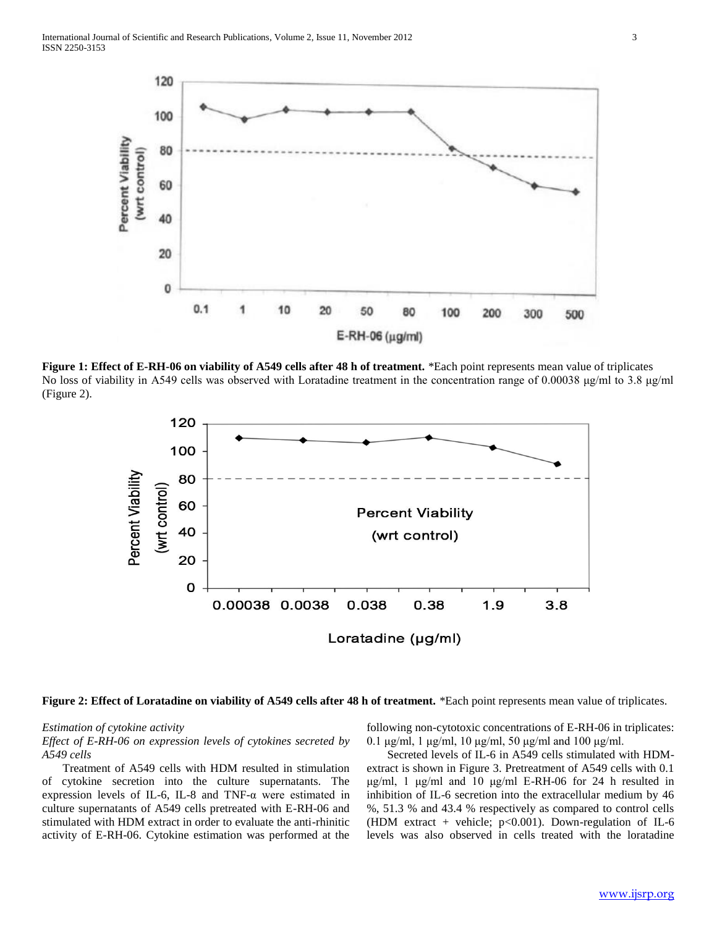

**Figure 1: Effect of E-RH-06 on viability of A549 cells after 48 h of treatment.** \*Each point represents mean value of triplicates No loss of viability in A549 cells was observed with Loratadine treatment in the concentration range of 0.00038 μg/ml to 3.8 μg/ml (Figure 2).



**Figure 2: Effect of Loratadine on viability of A549 cells after 48 h of treatment.** \*Each point represents mean value of triplicates.

#### *Estimation of cytokine activity*

*Effect of E-RH-06 on expression levels of cytokines secreted by A549 cells*

 Treatment of A549 cells with HDM resulted in stimulation of cytokine secretion into the culture supernatants. The expression levels of IL-6, IL-8 and TNF-α were estimated in culture supernatants of A549 cells pretreated with E-RH-06 and stimulated with HDM extract in order to evaluate the anti-rhinitic activity of E-RH-06. Cytokine estimation was performed at the following non-cytotoxic concentrations of E-RH-06 in triplicates:  $0.1 \mu$ g/ml, 1 μg/ml, 10 μg/ml, 50 μg/ml and 100 μg/ml.

 Secreted levels of IL-6 in A549 cells stimulated with HDMextract is shown in Figure 3. Pretreatment of A549 cells with 0.1 μg/ml, 1 μg/ml and 10 μg/ml E-RH-06 for 24 h resulted in inhibition of IL-6 secretion into the extracellular medium by 46 %, 51.3 % and 43.4 % respectively as compared to control cells (HDM extract + vehicle;  $p<0.001$ ). Down-regulation of IL-6 levels was also observed in cells treated with the loratadine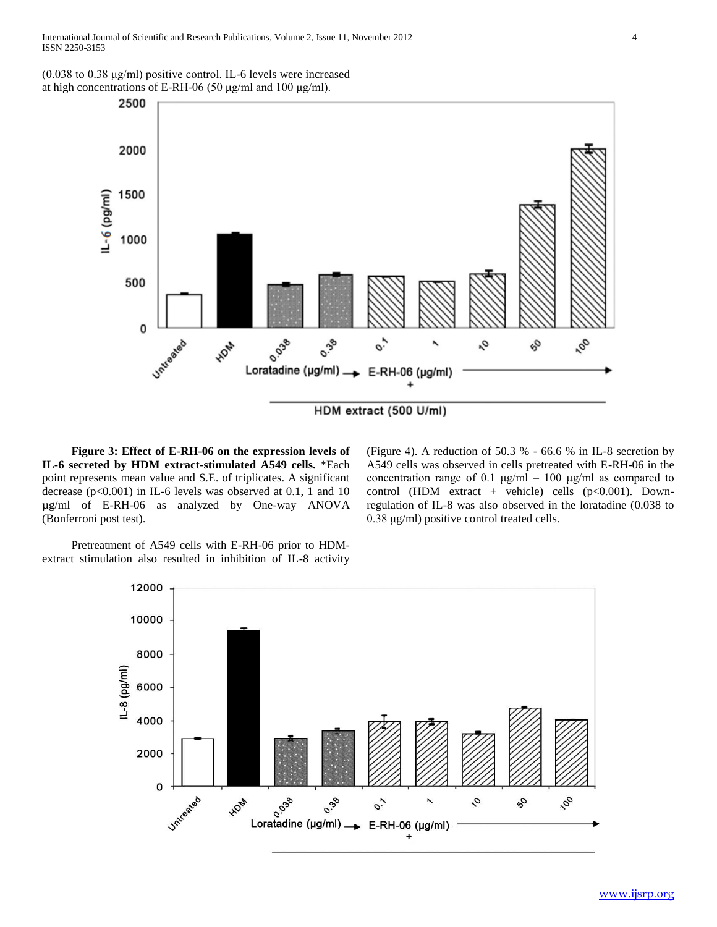(0.038 to 0.38 μg/ml) positive control. IL-6 levels were increased at high concentrations of E-RH-06 (50 μg/ml and 100 μg/ml).



 **Figure 3: Effect of E-RH-06 on the expression levels of IL-6 secreted by HDM extract-stimulated A549 cells.** \*Each point represents mean value and S.E. of triplicates. A significant decrease (p<0.001) in IL-6 levels was observed at 0.1, 1 and 10 µg/ml of E-RH-06 as analyzed by One-way ANOVA (Bonferroni post test).

(Figure 4). A reduction of 50.3 % - 66.6 % in IL-8 secretion by A549 cells was observed in cells pretreated with E-RH-06 in the concentration range of 0.1  $\mu$ g/ml – 100  $\mu$ g/ml as compared to control (HDM extract + vehicle) cells  $(p<0.001)$ . Downregulation of IL-8 was also observed in the loratadine (0.038 to 0.38 μg/ml) positive control treated cells.

Pretreatment of A549 cells with E-RH-06 prior to HDMextract stimulation also resulted in inhibition of IL-8 activity

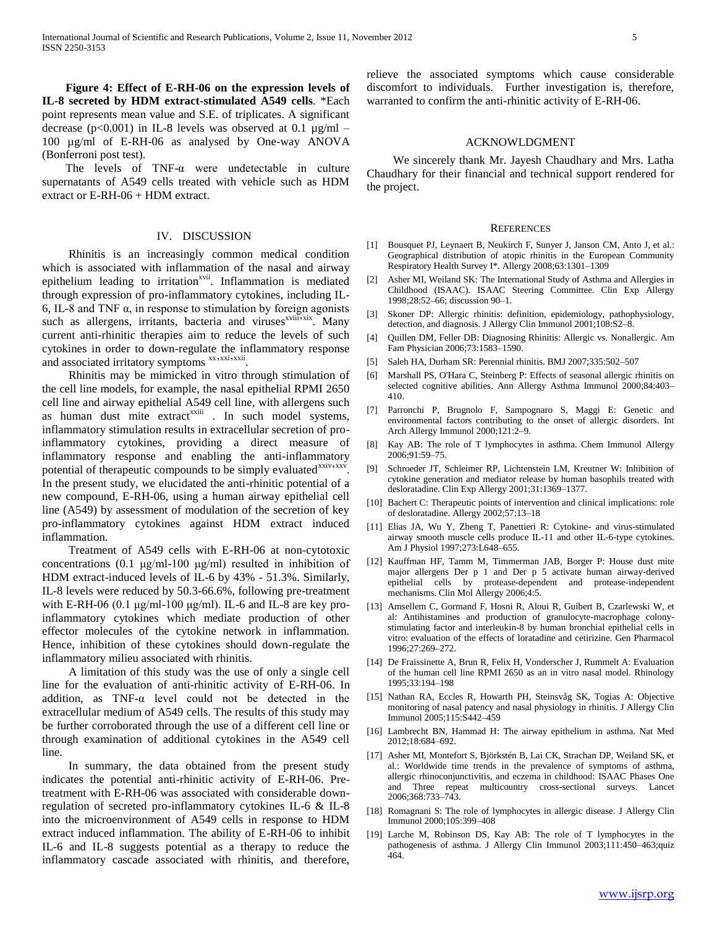**Figure 4: Effect of E-RH-06 on the expression levels of IL-8 secreted by HDM extract-stimulated A549 cells**. \*Each point represents mean value and S.E. of triplicates. A significant decrease ( $p<0.001$ ) in IL-8 levels was observed at 0.1  $\mu$ g/ml – 100 µg/ml of E-RH-06 as analysed by One-way ANOVA (Bonferroni post test).

The levels of TNF- $\alpha$  were undetectable in culture supernatants of A549 cells treated with vehicle such as HDM extract or E-RH-06 + HDM extract.

#### IV. DISCUSSION

 Rhinitis is an increasingly common medical condition which is associated with inflammation of the nasal and airway epithelium leading to irritation<sup>xvii</sup>. Inflammation is mediated through expression of pro-inflammatory cytokines, including IL-6, IL-8 and TNF α, in response to stimulation by foreign agonists such as allergens, irritants, bacteria and viruses<sup>xviii</sup><sub>2xix</sub>. Many current anti-rhinitic therapies aim to reduce the levels of such cytokines in order to down-regulate the inflammatory response and associated irritatory symptoms xx,xxi,xxii.

 Rhinitis may be mimicked in vitro through stimulation of the cell line models, for example, the nasal epithelial RPMI 2650 cell line and airway epithelial A549 cell line, with allergens such as human dust mite extract<sup>xxiii</sup> . In such model systems, inflammatory stimulation results in extracellular secretion of proinflammatory cytokines, providing a direct measure of inflammatory response and enabling the anti-inflammatory potential of therapeutic compounds to be simply evaluated<sup>xxiv</sup>, xxv. In the present study, we elucidated the anti-rhinitic potential of a new compound, E-RH-06, using a human airway epithelial cell line (A549) by assessment of modulation of the secretion of key pro-inflammatory cytokines against HDM extract induced inflammation.

 Treatment of A549 cells with E-RH-06 at non-cytotoxic concentrations (0.1 μg/ml-100 μg/ml) resulted in inhibition of HDM extract-induced levels of IL-6 by 43% - 51.3%. Similarly, IL-8 levels were reduced by 50.3-66.6%, following pre-treatment with E-RH-06 (0.1  $\mu$ g/ml-100  $\mu$ g/ml). IL-6 and IL-8 are key proinflammatory cytokines which mediate production of other effector molecules of the cytokine network in inflammation. Hence, inhibition of these cytokines should down-regulate the inflammatory milieu associated with rhinitis.

 A limitation of this study was the use of only a single cell line for the evaluation of anti-rhinitic activity of E-RH-06. In addition, as TNF-α level could not be detected in the extracellular medium of A549 cells. The results of this study may be further corroborated through the use of a different cell line or through examination of additional cytokines in the A549 cell line.

 In summary, the data obtained from the present study indicates the potential anti-rhinitic activity of E-RH-06. Pretreatment with E-RH-06 was associated with considerable downregulation of secreted pro-inflammatory cytokines IL-6 & IL-8 into the microenvironment of A549 cells in response to HDM extract induced inflammation. The ability of E-RH-06 to inhibit IL-6 and IL-8 suggests potential as a therapy to reduce the inflammatory cascade associated with rhinitis, and therefore,

relieve the associated symptoms which cause considerable discomfort to individuals. Further investigation is, therefore, warranted to confirm the anti-rhinitic activity of E-RH-06.

#### ACKNOWLDGMENT

 We sincerely thank Mr. Jayesh Chaudhary and Mrs. Latha Chaudhary for their financial and technical support rendered for the project.

#### **REFERENCES**

- [1] Bousquet PJ, Leynaert B, Neukirch F, Sunyer J, Janson CM, Anto J, et al.: Geographical distribution of atopic rhinitis in the European Community Respiratory Health Survey I\*. Allergy 2008;63:1301–1309
- [2] Asher MI, Weiland SK: The International Study of Asthma and Allergies in Childhood (ISAAC). ISAAC Steering Committee. Clin Exp Allergy 1998;28:52–66; discussion 90–1.
- [3] Skoner DP: Allergic rhinitis: definition, epidemiology, pathophysiology, detection, and diagnosis. J Allergy Clin Immunol 2001;108:S2–8.
- [4] Quillen DM, Feller DB: Diagnosing Rhinitis: Allergic vs. Nonallergic. Am Fam Physician 2006;73:1583–1590.
- [5] Saleh HA, Durham SR: Perennial rhinitis. BMJ 2007;335:502–507
- [6] Marshall PS, O'Hara C, Steinberg P: Effects of seasonal allergic rhinitis on selected cognitive abilities. Ann Allergy Asthma Immunol 2000;84:403– 410.
- [7] Parronchi P, Brugnolo F, Sampognaro S, Maggi E: Genetic and environmental factors contributing to the onset of allergic disorders. Int Arch Allergy Immunol 2000;121:2–9.
- [8] Kay AB: The role of T lymphocytes in asthma. Chem Immunol Allergy 2006;91:59–75.
- [9] Schroeder JT, Schleimer RP, Lichtenstein LM, Kreutner W: Inhibition of cytokine generation and mediator release by human basophils treated with desloratadine. Clin Exp Allergy 2001;31:1369–1377.
- [10] Bachert C: Therapeutic points of intervention and clinical implications: role of desloratadine. Allergy 2002;57:13–18
- [11] Elias JA, Wu Y, Zheng T, Panettieri R: Cytokine- and virus-stimulated airway smooth muscle cells produce IL-11 and other IL-6-type cytokines. Am J Physiol 1997;273:L648–655.
- [12] Kauffman HF, Tamm M, Timmerman JAB, Borger P: House dust mite major allergens Der p 1 and Der p 5 activate human airway-derived epithelial cells by protease-dependent and protease-independent mechanisms. Clin Mol Allergy 2006;4:5.
- [13] Amsellem C, Gormand F, Hosni R, Aloui R, Guibert B, Czarlewski W, et al: Antihistamines and production of granulocyte-macrophage colonystimulating factor and interleukin-8 by human bronchial epithelial cells in vitro: evaluation of the effects of loratadine and cetirizine. Gen Pharmacol 1996;27:269–272.
- [14] De Fraissinette A, Brun R, Felix H, Vonderscher J, Rummelt A: Evaluation of the human cell line RPMI 2650 as an in vitro nasal model. Rhinology 1995;33:194–198
- [15] Nathan RA, Eccles R, Howarth PH, Steinsvåg SK, Togias A: Objective monitoring of nasal patency and nasal physiology in rhinitis. J Allergy Clin Immunol 2005;115:S442–459
- [16] Lambrecht BN, Hammad H: The airway epithelium in asthma. Nat Med 2012;18:684–692.
- [17] Asher MI, Montefort S, Björkstén B, Lai CK, Strachan DP, Weiland SK, et al.: Worldwide time trends in the prevalence of symptoms of asthma, allergic rhinoconjunctivitis, and eczema in childhood: ISAAC Phases One and Three repeat multicountry cross-sectional surveys. Lancet 2006;368:733–743.
- [18] Romagnani S: The role of lymphocytes in allergic disease. J Allergy Clin Immunol 2000;105:399–408
- [19] Larche M, Robinson DS, Kay AB: The role of T lymphocytes in the pathogenesis of asthma. J Allergy Clin Immunol 2003;111:450–463;quiz 464.